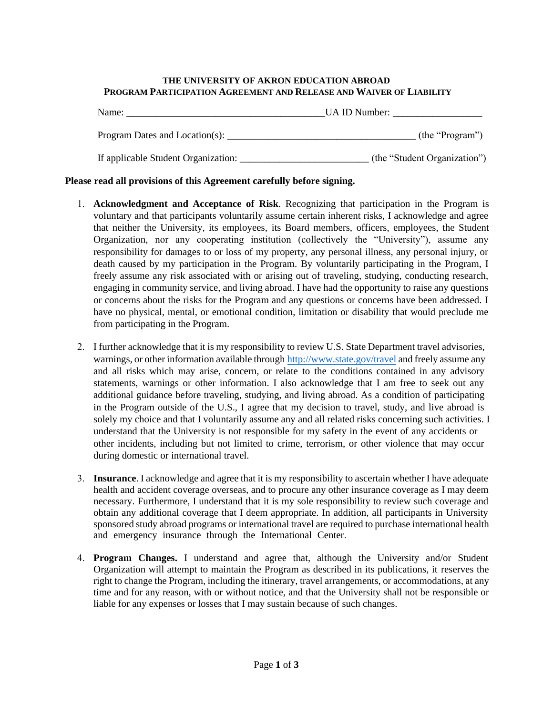## **THE UNIVERSITY OF AKRON EDUCATION ABROAD PROGRAM PARTICIPATION AGREEMENT AND RELEASE AND WAIVER OF LIABILITY**

| Name:                               | UA ID Number:                |
|-------------------------------------|------------------------------|
| Program Dates and Location(s):      | (the "Program")              |
| If applicable Student Organization: | (the "Student Organization") |

## **Please read all provisions of this Agreement carefully before signing.**

- 1. **Acknowledgment and Acceptance of Risk**. Recognizing that participation in the Program is voluntary and that participants voluntarily assume certain inherent risks, I acknowledge and agree that neither the University, its employees, its Board members, officers, employees, the Student Organization, nor any cooperating institution (collectively the "University"), assume any responsibility for damages to or loss of my property, any personal illness, any personal injury, or death caused by my participation in the Program. By voluntarily participating in the Program, I freely assume any risk associated with or arising out of traveling, studying, conducting research, engaging in community service, and living abroad. I have had the opportunity to raise any questions or concerns about the risks for the Program and any questions or concerns have been addressed. I have no physical, mental, or emotional condition, limitation or disability that would preclude me from participating in the Program.
- 2. I further acknowledge that it is my responsibility to review U.S. State Department travel advisories, warnings, or other information available throug[h http://www.state.gov/travel](http://www.state.gov/travelandbusiness/) and freely assume any and all risks which may arise, concern, or relate to the conditions contained in any advisory statements, warnings or other information. I also acknowledge that I am free to seek out any additional guidance before traveling, studying, and living abroad. As a condition of participating in the Program outside of the U.S., I agree that my decision to travel, study, and live abroad is solely my choice and that I voluntarily assume any and all related risks concerning such activities. I understand that the University is not responsible for my safety in the event of any accidents or other incidents, including but not limited to crime, terrorism, or other violence that may occur during domestic or international travel.
- 3. **Insurance**. I acknowledge and agree that it is my responsibility to ascertain whether I have adequate health and accident coverage overseas, and to procure any other insurance coverage as I may deem necessary. Furthermore, I understand that it is my sole responsibility to review such coverage and obtain any additional coverage that I deem appropriate. In addition, all participants in University sponsored study abroad programs or international travel are required to purchase international health and emergency insurance through the International Center.
- 4. **Program Changes.** I understand and agree that, although the University and/or Student Organization will attempt to maintain the Program as described in its publications, it reserves the right to change the Program, including the itinerary, travel arrangements, or accommodations, at any time and for any reason, with or without notice, and that the University shall not be responsible or liable for any expenses or losses that I may sustain because of such changes.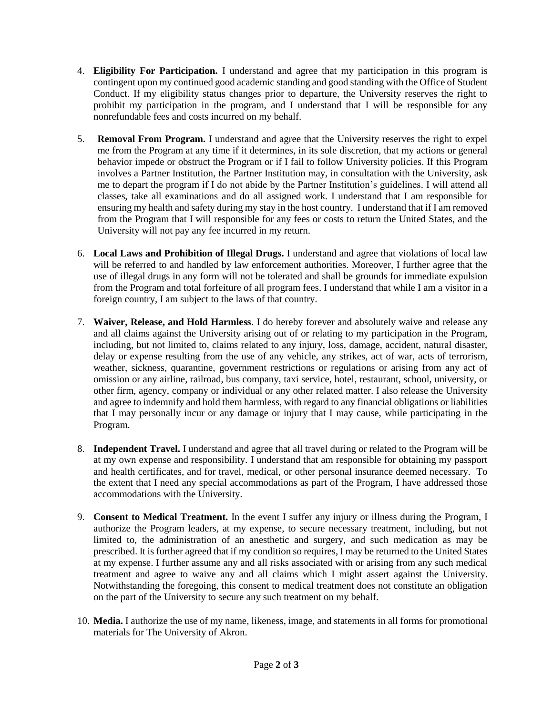- 4. **Eligibility For Participation.** I understand and agree that my participation in this program is contingent upon my continued good academic standing and good standing with the Office of Student Conduct. If my eligibility status changes prior to departure, the University reserves the right to prohibit my participation in the program, and I understand that I will be responsible for any nonrefundable fees and costs incurred on my behalf.
- 5. **Removal From Program.** I understand and agree that the University reserves the right to expel me from the Program at any time if it determines, in its sole discretion, that my actions or general behavior impede or obstruct the Program or if I fail to follow University policies. If this Program involves a Partner Institution, the Partner Institution may, in consultation with the University, ask me to depart the program if I do not abide by the Partner Institution's guidelines. I will attend all classes, take all examinations and do all assigned work. I understand that I am responsible for ensuring my health and safety during my stay in the host country. I understand that if I am removed from the Program that I will responsible for any fees or costs to return the United States, and the University will not pay any fee incurred in my return.
- 6. **Local Laws and Prohibition of Illegal Drugs.** I understand and agree that violations of local law will be referred to and handled by law enforcement authorities. Moreover, I further agree that the use of illegal drugs in any form will not be tolerated and shall be grounds for immediate expulsion from the Program and total forfeiture of all program fees. I understand that while I am a visitor in a foreign country, I am subject to the laws of that country.
- 7. **Waiver, Release, and Hold Harmless**. I do hereby forever and absolutely waive and release any and all claims against the University arising out of or relating to my participation in the Program, including, but not limited to, claims related to any injury, loss, damage, accident, natural disaster, delay or expense resulting from the use of any vehicle, any strikes, act of war, acts of terrorism, weather, sickness, quarantine, government restrictions or regulations or arising from any act of omission or any airline, railroad, bus company, taxi service, hotel, restaurant, school, university, or other firm, agency, company or individual or any other related matter. I also release the University and agree to indemnify and hold them harmless, with regard to any financial obligations or liabilities that I may personally incur or any damage or injury that I may cause, while participating in the Program.
- 8. **Independent Travel.** I understand and agree that all travel during or related to the Program will be at my own expense and responsibility. I understand that am responsible for obtaining my passport and health certificates, and for travel, medical, or other personal insurance deemed necessary. To the extent that I need any special accommodations as part of the Program, I have addressed those accommodations with the University.
- 9. **Consent to Medical Treatment.** In the event I suffer any injury or illness during the Program, I authorize the Program leaders, at my expense, to secure necessary treatment, including, but not limited to, the administration of an anesthetic and surgery, and such medication as may be prescribed. It is further agreed that if my condition so requires, I may be returned to the United States at my expense. I further assume any and all risks associated with or arising from any such medical treatment and agree to waive any and all claims which I might assert against the University. Notwithstanding the foregoing, this consent to medical treatment does not constitute an obligation on the part of the University to secure any such treatment on my behalf.
- 10. **Media.** I authorize the use of my name, likeness, image, and statements in all forms for promotional materials for The University of Akron.